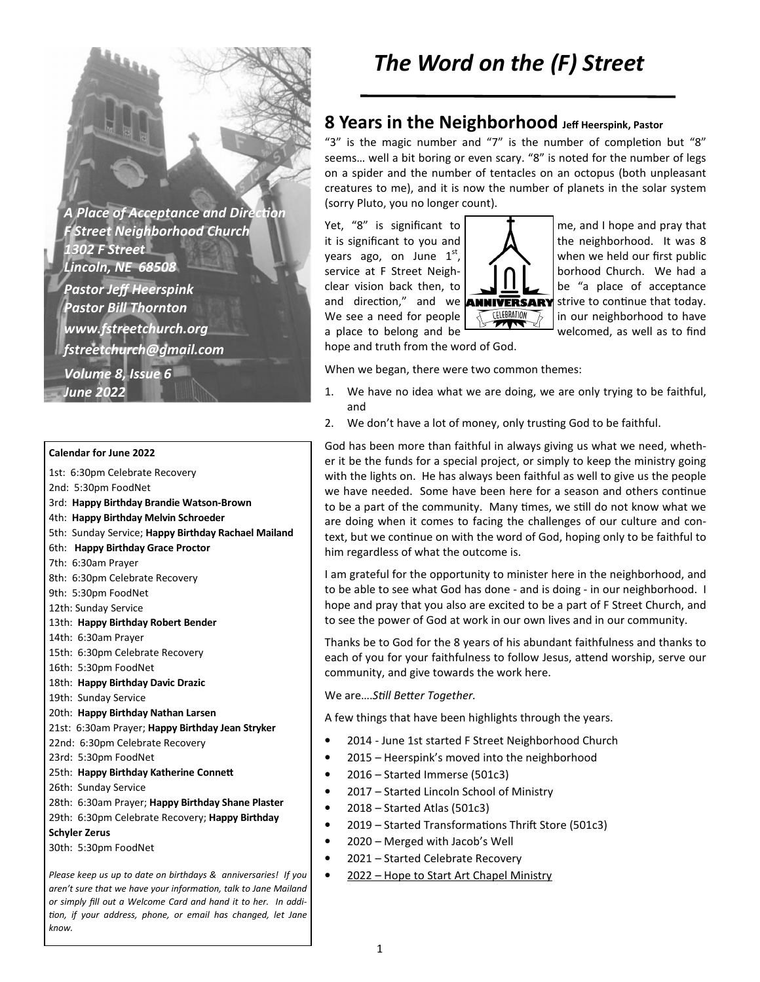**A Place of Acceptance and Direction** *F Street Neighborhood Church 1302 F Street Lincoln, NE 68508 Pastor Jeff Heerspink Pastor Bill Thornton www.fstreetchurch.org fstreetchurch@gmail.com Volume 8, Issue 6* 

#### **Calendar for June 2022**

*June 2022* 

- 1st: 6:30pm Celebrate Recovery
- 2nd: 5:30pm FoodNet
- 3rd: **Happy Birthday Brandie Watson-Brown**
- 4th: **Happy Birthday Melvin Schroeder**
- 5th: Sunday Service; **Happy Birthday Rachael Mailand**
- 6th: **Happy Birthday Grace Proctor**
- 7th: 6:30am Prayer
- 8th: 6:30pm Celebrate Recovery
- 9th: 5:30pm FoodNet
- 12th: Sunday Service
- 13th: **Happy Birthday Robert Bender**
- 14th: 6:30am Prayer
- 15th: 6:30pm Celebrate Recovery
- 16th: 5:30pm FoodNet
- 18th: **Happy Birthday Davic Drazic**
- 19th: Sunday Service
- 20th: **Happy Birthday Nathan Larsen**
- 21st: 6:30am Prayer; **Happy Birthday Jean Stryker**
- 22nd: 6:30pm Celebrate Recovery
- 23rd: 5:30pm FoodNet
- 25th: Happy Birthday Katherine Connett
- 26th: Sunday Service
- 28th: 6:30am Prayer; **Happy Birthday Shane Plaster**
- 29th: 6:30pm Celebrate Recovery; **Happy Birthday**
- **Schyler Zerus**
- 30th: 5:30pm FoodNet

*Please keep us up to date on birthdays & anniversaries! If you*  aren't sure that we have your information, talk to Jane Mailand *or simply fill out a Welcome Card and hand it to her. In addi on, if your address, phone, or email has changed, let Jane know.* 

# *The Word on the (F) Street*

### **8 Years in the Neighborhood Jeff Heerspink, Pastor**

"3" is the magic number and "7" is the number of completion but "8" seems… well a bit boring or even scary. "8" is noted for the number of legs on a spider and the number of tentacles on an octopus (both unpleasant creatures to me), and it is now the number of planets in the solar system (sorry Pluto, you no longer count).

Yet, "8" is significant to  $\parallel$   $\parallel$   $\parallel$  me, and I hope and pray that hope and truth from the word of God.



it is significant to you and  $\Lambda$  the neighborhood. It was 8 years ago, on June  $1^{st}$ ,  $\sum \setminus \{$  when we held our first public service at F Street Neigh-  $\bigcap$   $\bigcap$  borhood Church. We had a clear vision back then, to **be Let us** lbe "a place of acceptance and direction," and we **ANNIVERSARY** strive to continue that today. We see a need for people  $\sqrt{\frac{\text{CHEBRATION}}{100}}$  in our neighborhood to have a place to belong and be welcomed, as well as to find

When we began, there were two common themes:

- 1. We have no idea what we are doing, we are only trying to be faithful, and
- 2. We don't have a lot of money, only trusting God to be faithful.

God has been more than faithful in always giving us what we need, whether it be the funds for a special project, or simply to keep the ministry going with the lights on. He has always been faithful as well to give us the people we have needed. Some have been here for a season and others continue to be a part of the community. Many times, we still do not know what we are doing when it comes to facing the challenges of our culture and context, but we continue on with the word of God, hoping only to be faithful to him regardless of what the outcome is.

I am grateful for the opportunity to minister here in the neighborhood, and to be able to see what God has done - and is doing - in our neighborhood. I hope and pray that you also are excited to be a part of F Street Church, and to see the power of God at work in our own lives and in our community.

Thanks be to God for the 8 years of his abundant faithfulness and thanks to each of you for your faithfulness to follow Jesus, attend worship, serve our community, and give towards the work here.

We are....Still Better Together.

A few things that have been highlights through the years.

- 2014 June 1st started F Street Neighborhood Church
- 2015 Heerspink's moved into the neighborhood
- 2016 Started Immerse (501c3)
- 2017 Started Lincoln School of Ministry
- $\bullet$  2018 Started Atlas (501c3)
- 2019 Started Transformations Thrift Store (501c3)
- 2020 Merged with Jacob's Well
- 2021 Started Celebrate Recovery
- 2022 Hope to Start Art Chapel Ministry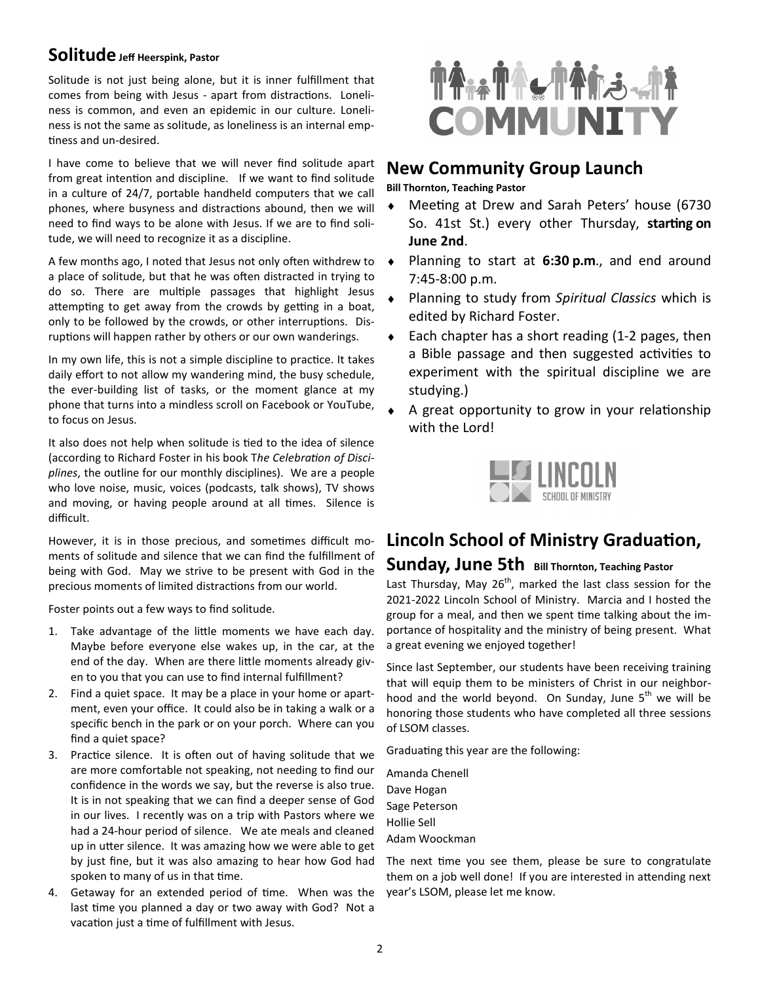### **Solitude Jeff Heerspink, Pastor**

Solitude is not just being alone, but it is inner fulfillment that comes from being with Jesus - apart from distractions. Loneliness is common, and even an epidemic in our culture. Loneliness is not the same as solitude, as loneliness is an internal emp tiness and un-desired.

I have come to believe that we will never find solitude apart from great intention and discipline. If we want to find solitude in a culture of 24/7, portable handheld computers that we call phones, where busyness and distractions abound, then we will need to find ways to be alone with Jesus. If we are to find solitude, we will need to recognize it as a discipline.

A few months ago, I noted that Jesus not only often withdrew to a place of solitude, but that he was often distracted in trying to do so. There are multiple passages that highlight Jesus attempting to get away from the crowds by getting in a boat, only to be followed by the crowds, or other interruptions. Disruptions will happen rather by others or our own wanderings.

In my own life, this is not a simple discipline to practice. It takes daily effort to not allow my wandering mind, the busy schedule, the ever-building list of tasks, or the moment glance at my phone that turns into a mindless scroll on Facebook or YouTube, to focus on Jesus.

It also does not help when solitude is tied to the idea of silence (according to Richard Foster in his book The Celebration of Disci*plines*, the outline for our monthly disciplines). We are a people who love noise, music, voices (podcasts, talk shows), TV shows and moving, or having people around at all times. Silence is difficult.

However, it is in those precious, and sometimes difficult moments of solitude and silence that we can find the fulfillment of being with God. May we strive to be present with God in the precious moments of limited distractions from our world.

Foster points out a few ways to find solitude.

- 1. Take advantage of the little moments we have each day. Maybe before everyone else wakes up, in the car, at the end of the day. When are there little moments already given to you that you can use to find internal fulfillment?
- 2. Find a quiet space. It may be a place in your home or apartment, even your office. It could also be in taking a walk or a specific bench in the park or on your porch. Where can you find a quiet space?
- 3. Practice silence. It is often out of having solitude that we are more comfortable not speaking, not needing to find our confidence in the words we say, but the reverse is also true. It is in not speaking that we can find a deeper sense of God in our lives. I recently was on a trip with Pastors where we had a 24-hour period of silence. We ate meals and cleaned up in utter silence. It was amazing how we were able to get by just fine, but it was also amazing to hear how God had spoken to many of us in that time.
- 4. Getaway for an extended period of time. When was the last time you planned a day or two away with God? Not a vacation just a time of fulfillment with Jesus.



### **New Community Group Launch**

**Bill Thornton, Teaching Pastor**

- Meeting at Drew and Sarah Peters' house (6730 So. 41st St.) every other Thursday, starting on **June 2nd**.
- Planning to start at 6:30 p.m., and end around 7:45-8:00 p.m.
- ♦ Planning to study from *Spiritual Classics* which is edited by Richard Foster.
- $\bullet$  Each chapter has a short reading (1-2 pages, then a Bible passage and then suggested activities to experiment with the spiritual discipline we are studying.)
- A great opportunity to grow in your relationship with the Lord!



# **Lincoln School of Ministry Graduation,**

### **Sunday, June 5th Bill Thornton, Teaching Pastor**

Last Thursday, May  $26<sup>th</sup>$ , marked the last class session for the 2021-2022 Lincoln School of Ministry. Marcia and I hosted the group for a meal, and then we spent time talking about the importance of hospitality and the ministry of being present. What a great evening we enjoyed together!

Since last September, our students have been receiving training that will equip them to be ministers of Christ in our neighborhood and the world beyond. On Sunday, June  $5<sup>th</sup>$  we will be honoring those students who have completed all three sessions of LSOM classes.

Graduating this year are the following:

Amanda Chenell Dave Hogan Sage Peterson Hollie Sell Adam Woockman

The next time you see them, please be sure to congratulate them on a job well done! If you are interested in attending next year's LSOM, please let me know.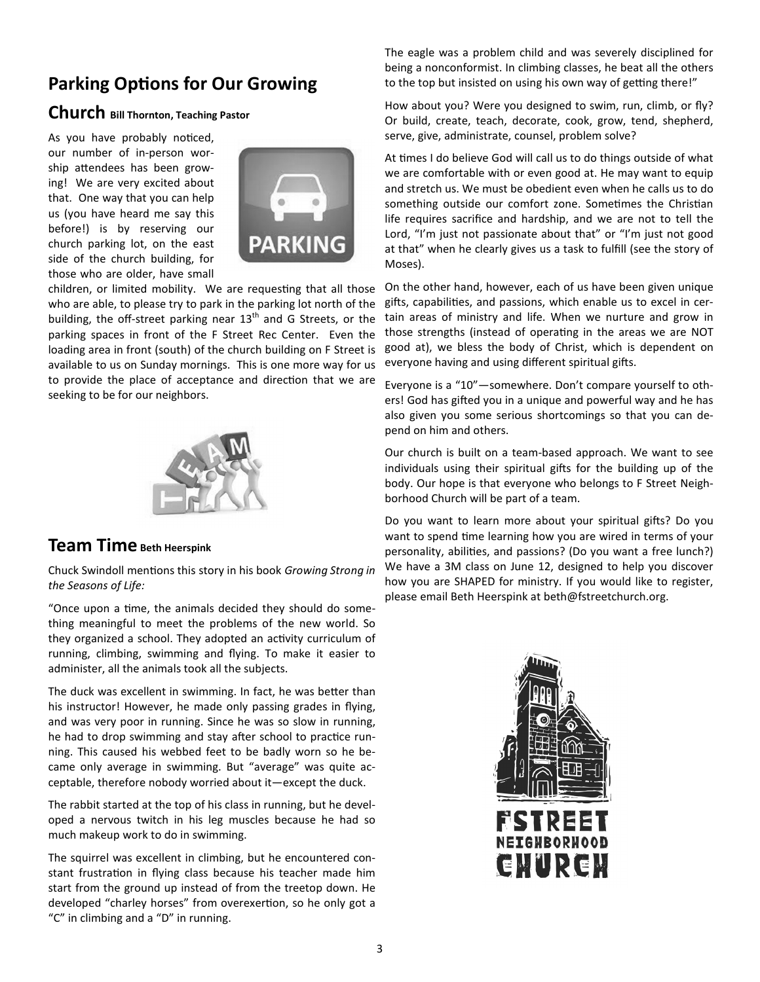# **Parking Options for Our Growing**

### **Church Bill Thornton, Teaching Pastor**

As you have probably noticed, our number of in-person worship attendees has been growing! We are very excited about that. One way that you can help us (you have heard me say this before!) is by reserving our church parking lot, on the east side of the church building, for those who are older, have small



children, or limited mobility. We are requesting that all those who are able, to please try to park in the parking lot north of the building, the off-street parking near  $13<sup>th</sup>$  and G Streets, or the parking spaces in front of the F Street Rec Center. Even the loading area in front (south) of the church building on F Street is available to us on Sunday mornings. This is one more way for us to provide the place of acceptance and direction that we are seeking to be for our neighbors.



### **Team Time Beth Heerspink**

Chuck Swindoll mentions this story in his book *Growing Strong in the Seasons of Life:* 

"Once upon a time, the animals decided they should do something meaningful to meet the problems of the new world. So they organized a school. They adopted an activity curriculum of running, climbing, swimming and flying. To make it easier to administer, all the animals took all the subjects.

The duck was excellent in swimming. In fact, he was better than his instructor! However, he made only passing grades in flying, and was very poor in running. Since he was so slow in running, he had to drop swimming and stay after school to practice running. This caused his webbed feet to be badly worn so he became only average in swimming. But "average" was quite acceptable, therefore nobody worried about it—except the duck.

The rabbit started at the top of his class in running, but he developed a nervous twitch in his leg muscles because he had so much makeup work to do in swimming.

The squirrel was excellent in climbing, but he encountered constant frustration in flying class because his teacher made him start from the ground up instead of from the treetop down. He developed "charley horses" from overexertion, so he only got a "C" in climbing and a "D" in running.

The eagle was a problem child and was severely disciplined for being a nonconformist. In climbing classes, he beat all the others to the top but insisted on using his own way of getting there!"

How about you? Were you designed to swim, run, climb, or fly? Or build, create, teach, decorate, cook, grow, tend, shepherd, serve, give, administrate, counsel, problem solve?

At times I do believe God will call us to do things outside of what we are comfortable with or even good at. He may want to equip and stretch us. We must be obedient even when he calls us to do something outside our comfort zone. Sometimes the Christian life requires sacrifice and hardship, and we are not to tell the Lord, "I'm just not passionate about that" or "I'm just not good at that" when he clearly gives us a task to fulfill (see the story of Moses).

On the other hand, however, each of us have been given unique gifts, capabilities, and passions, which enable us to excel in certain areas of ministry and life. When we nurture and grow in those strengths (instead of operating in the areas we are NOT good at), we bless the body of Christ, which is dependent on everyone having and using different spiritual gifts.

Everyone is a "10"—somewhere. Don't compare yourself to others! God has gifted you in a unique and powerful way and he has also given you some serious shortcomings so that you can depend on him and others.

Our church is built on a team-based approach. We want to see individuals using their spiritual gifts for the building up of the body. Our hope is that everyone who belongs to F Street Neighborhood Church will be part of a team.

Do you want to learn more about your spiritual gifts? Do you want to spend time learning how you are wired in terms of your personality, abilities, and passions? (Do you want a free lunch?) We have a 3M class on June 12, designed to help you discover how you are SHAPED for ministry. If you would like to register, please email Beth Heerspink at beth@fstreetchurch.org.